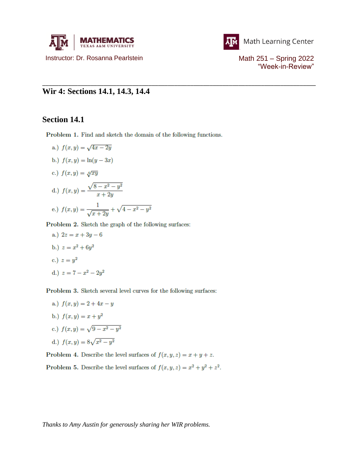



"Week-in-Review"

## **Wir 4: Sections 14.1, 14.3, 14.4**

## **Section 14.1**

Problem 1. Find and sketch the domain of the following functions.

\_\_\_\_\_\_\_\_\_\_\_\_\_\_\_\_\_\_\_\_\_\_\_\_\_\_\_\_\_\_\_\_\_\_\_\_\_\_\_\_\_\_\_\_\_\_\_\_\_\_\_\_\_\_\_\_\_\_\_\_\_\_\_\_\_\_\_\_\_\_\_\_\_\_\_\_\_\_\_\_\_\_\_\_\_

a.)  $f(x, y) = \sqrt{4x - 2y}$ b.)  $f(x, y) = \ln(y - 3x)$ c.)  $f(x,y) = \sqrt[4]{xy}$ d.)  $f(x,y) = \frac{\sqrt{8-x^2-y^2}}{x+2y}$ 

e.) 
$$
f(x, y) = \frac{1}{\sqrt{x + 2y}} + \sqrt{4 - x^2 - y^2}
$$

Problem 2. Sketch the graph of the following surfaces:

a.)  $2z = x + 3y - 6$ b.)  $z = x^2 + 6y^2$ c.)  $z = y^2$ d.)  $z = 7 - x^2 - 2y^2$ 

Problem 3. Sketch several level curves for the following surfaces:

a.)  $f(x, y) = 2 + 4x - y$ b.)  $f(x, y) = x + y^2$ c.)  $f(x, y) = \sqrt{9 - x^2 - y^2}$ d.)  $f(x, y) = 8\sqrt{x^2 - y^2}$ 

Problem 4. Describe the level surfaces of  $f(x, y, z) = x + y + z$ .

Problem 5. Describe the level surfaces of  $f(x, y, z) = x^2 + y^2 + z^2$ .

*Thanks to Amy Austin for generously sharing her WIR problems.*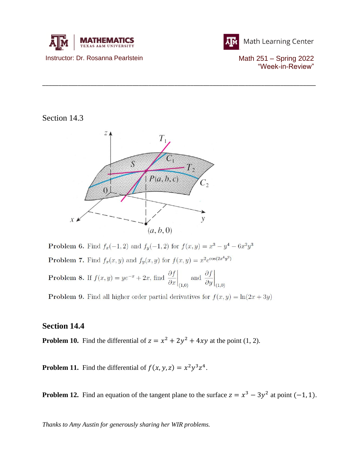



Math Learning Center

"Week-in-Review"

## Section 14.3



\_\_\_\_\_\_\_\_\_\_\_\_\_\_\_\_\_\_\_\_\_\_\_\_\_\_\_\_\_\_\_\_\_\_\_\_\_\_\_\_\_\_\_\_\_\_\_\_\_\_\_\_\_\_\_\_\_\_\_\_\_\_\_\_\_\_\_\_\_\_\_\_\_\_\_\_\_\_\_\_\_\_\_\_\_

**Problem 6.** Find  $f_x(-1, 2)$  and  $f_y(-1, 2)$  for  $f(x, y) = x^3 - y^4 - 6x^2y^3$ **Problem 7.** Find  $f_x(x, y)$  and  $f_y(x, y)$  for  $f(x, y) = x^2 e^{\cos(2x^4y^2)}$ **Problem 8.** If  $f(x, y) = ye^{-x} + 2x$ , find  $\frac{\partial f}{\partial x}\Big|_{(1,0)}$  and  $\frac{\partial f}{\partial y}\Big|_{(1,0)}$ 

**Problem 9.** Find all higher order partial derivatives for  $f(x, y) = \ln(2x + 3y)$ 

## **Section 14.4**

**Problem 10.** Find the differential of  $z = x^2 + 2y^2 + 4xy$  at the point (1, 2).

**Problem 11.** Find the differential of  $f(x, y, z) = x^2 y^3 z^4$ .

**Problem 12.** Find an equation of the tangent plane to the surface  $z = x^3 - 3y^2$  at point  $(-1, 1)$ .

*Thanks to Amy Austin for generously sharing her WIR problems.*